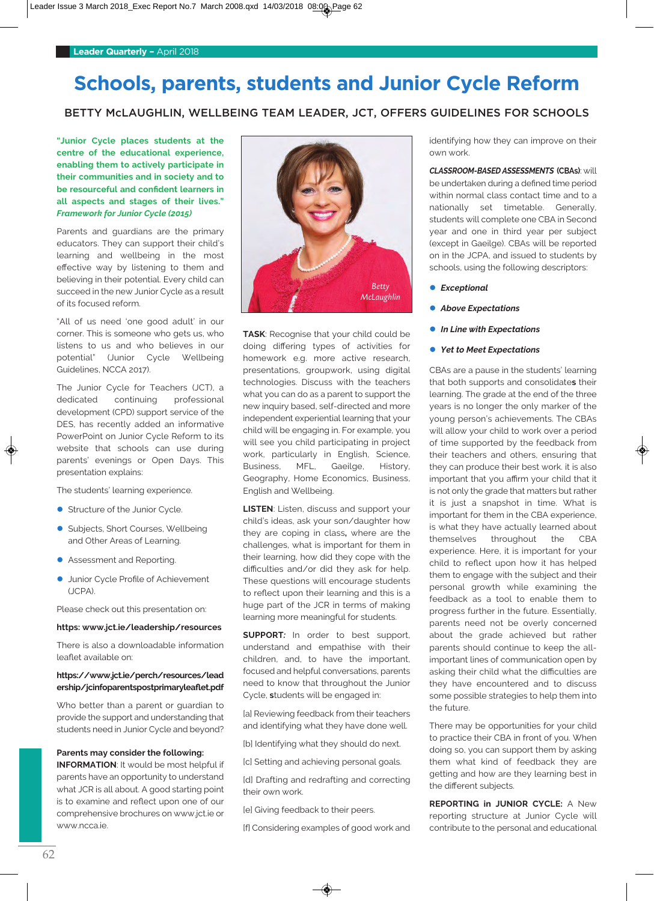# **Schools, parents, students and Junior Cycle Reform**

# BETTY McLAUGHLIN, WELLBEING TEAM LEADER, JCT, OFFERS GUIDELINES FOR SCHOOLS

**"Junior Cycle places students at the centre of the educational experience, enabling them to actively participate in their communities and in society and to be resourceful and confident learners in all aspects and stages of their lives."** *Framework for Junior Cycle (2015)*

Parents and guardians are the primary educators. They can support their child's learning and wellbeing in the most effective way by listening to them and believing in their potential. Every child can succeed in the new Junior Cycle as a result of its focused reform.

"All of us need 'one good adult' in our corner. This is someone who gets us, who listens to us and who believes in our potential" (Junior Cycle Wellbeing Guidelines, NCCA 2017).

The Junior Cycle for Teachers (JCT), a dedicated continuing professional development (CPD) support service of the DES, has recently added an informative PowerPoint on Junior Cycle Reform to its website that schools can use during parents' evenings or Open Days. This presentation explains:

The students' learning experience.

- **Structure of the Junior Cycle.**
- **C** Subjects, Short Courses, Wellbeing and Other Areas of Learning.
- **Assessment and Reporting.**
- **Junior Cycle Profile of Achievement** (JCPA).

Please check out this presentation on:

### **https: www.jct.ie/leadership/resources**

There is also a downloadable information leaflet available on:

### **https://www.jct.ie/perch/resources/lead ership/jcinfoparentspostprimaryleaflet.pdf**

Who better than a parent or guardian to provide the support and understanding that students need in Junior Cycle and beyond?

### **Parents may consider the following:**

**INFoRMATIoN**: It would be most helpful if parents have an opportunity to understand what JCR is all about. A good starting point is to examine and reflect upon one of our comprehensive brochures on www.jct.ie or www.ncca.ie.



**TASK**: Recognise that your child could be doing differing types of activities for homework e.g. more active research, presentations, groupwork, using digital technologies. Discuss with the teachers what you can do as a parent to support the new inquiry based, self-directed and more independent experiential learning that your child will be engaging in. For example, you will see you child participating in project work, particularly in English, Science, Business, MFL, Gaeilge, History, Geography, Home Economics, Business, English and Wellbeing.

**LISTEN**: Listen, discuss and support your child's ideas, ask your son/daughter how they are coping in class**,** where are the challenges, what is important for them in their learning, how did they cope with the difficulties and/or did they ask for help. These questions will encourage students to reflect upon their learning and this is a huge part of the JCR in terms of making learning more meaningful for students.

**SuPPoRT***:* In order to best support, understand and empathise with their children, and, to have the important, focused and helpful conversations, parents need to know that throughout the Junior Cycle, **s**tudents will be engaged in:

[a] Reviewing feedback from their teachers and identifying what they have done well.

[b] Identifying what they should do next.

[c] Setting and achieving personal goals.

[d] Drafting and redrafting and correcting their own work.

[e] Giving feedback to their peers.

[f] Considering examples of good work and

identifying how they can improve on their own work.

*CLASSROOM-BASED ASSESSMENTS* **(CBAs)**: will be undertaken during a defined time period within normal class contact time and to a nationally set timetable. Generally, students will complete one CBA in Second year and one in third year per subject (except in Gaeilge). CBAs will be reported on in the JCPA, and issued to students by schools, using the following descriptors:

- **e** *Exceptional*
- **•** Above Expectations
- **•** In Line with Expectations
- **•** *Yet to Meet Expectations*

CBAs are a pause in the students' learning that both supports and consolidate**s** their learning. The grade at the end of the three years is no longer the only marker of the young person's achievements. The CBAs will allow your child to work over a period of time supported by the feedback from their teachers and others, ensuring that they can produce their best work. it is also important that you affirm your child that it is not only the grade that matters but rather it is just a snapshot in time. What is important for them in the CBA experience, is what they have actually learned about themselves throughout the CBA experience. Here, it is important for your child to reflect upon how it has helped them to engage with the subject and their personal growth while examining the feedback as a tool to enable them to progress further in the future. Essentially, parents need not be overly concerned about the grade achieved but rather parents should continue to keep the allimportant lines of communication open by asking their child what the difficulties are they have encountered and to discuss some possible strategies to help them into the future.

There may be opportunities for your child to practice their CBA in front of you. When doing so, you can support them by asking them what kind of feedback they are getting and how are they learning best in the different subjects.

**REPoRTING in JuNIoR CyCLE:** A New reporting structure at Junior Cycle will contribute to the personal and educational